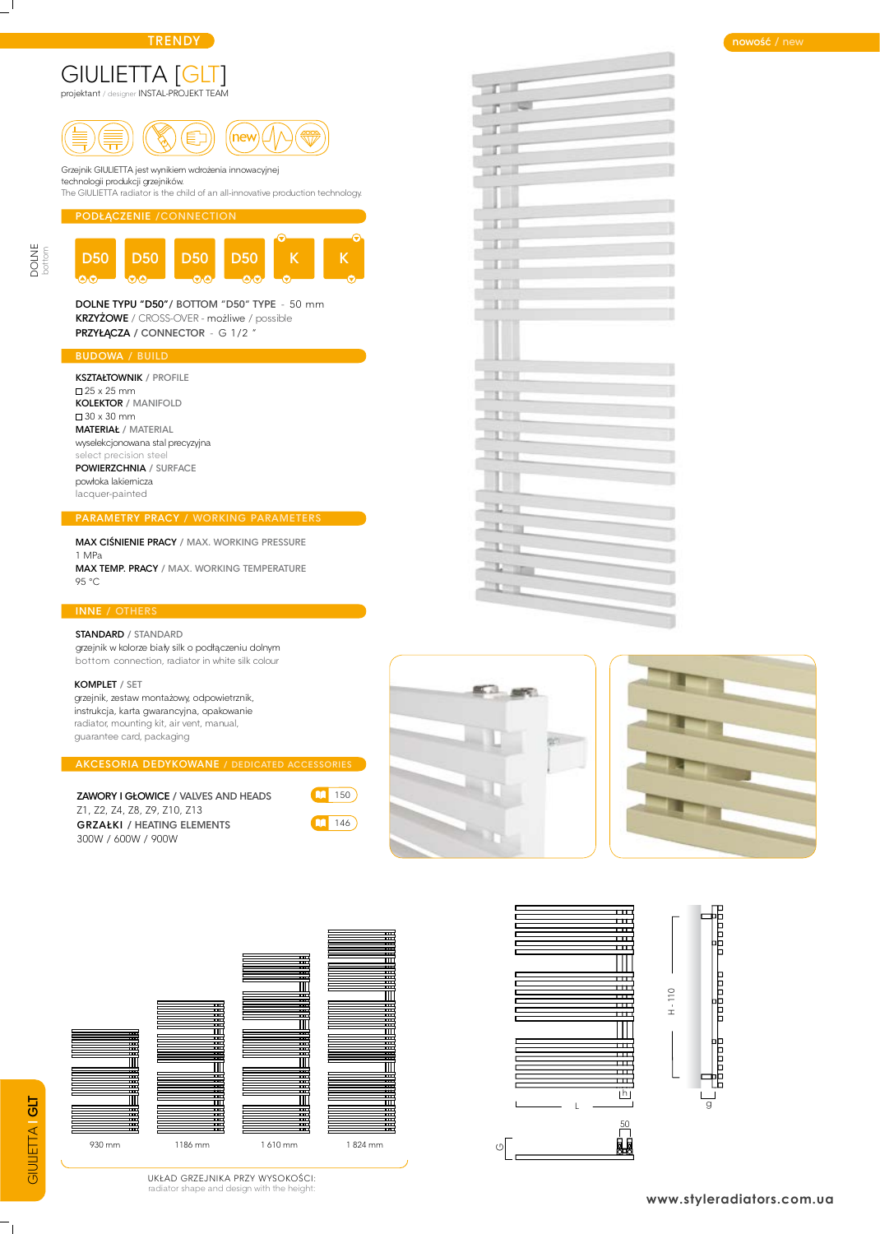**TRENDY**



## GIULIETTA [GLT] projektant / designer INSTAL-PROJEKT TEAM



# Grzejnik GIULIETTA jest wynikiem wdrożenia innowacyjnej

technologii produkcji grzejników. The GIULIETTA radiator is the child of an all-innovative production technology.



#### **DOLNE TYPU "D50"/ BOTTOM "D50" TYPE** - 50 mm **KRZYŻOWE** / CROSS-OVER - możliwe / possible **PRZYŁĄCZA / CONNECTOR** - G 1/2 "

# **BUDOWA / BUILD**

DOLNE bottom

**KSZTAŁTOWNIK / PROFILE**  $\square$  25 x 25 mm **KOLEKTOR / MANIFOLD**  $\Box$  30 x 30 mm **MATERIAŁ / MATERIAL** wyselekcjonowana stal precyzyjna select precision steel **POWIERZCHNIA / SURFACE** powłoka lakiernicza lacquer-painted

### **PARAMETRY PRACY / WORKING PARAMETERS**

**MAX CIŚNIENIE PRACY / MAX. WORKING PRESSURE**  1 MPa **MAX TEMP. PRACY / MAX. WORKING TEMPERATURE** 95 °C

#### **STANDARD / STANDARD** grzejnik w kolorze biały silk o podłączeniu dolnym bottom connection, radiator in white silk colour

**KOMPLET / SET** grzejnik, zestaw montażowy, odpowietrznik,

instrukcja, karta gwarancyjna, opakowanie radiator, mounting kit, air vent, manual, guarantee card, packaging

#### **AKCESORIA DEDYKOWANE / DEDICATED ACCESSORIES**

| <b>ZAWORY I GŁOWICE / VALVES AND HEADS</b> | $\left( \prod_{i=1}^{n}$ 150 |
|--------------------------------------------|------------------------------|
| Z1, Z2, Z4, Z8, Z9, Z10, Z13               |                              |
| <b>GRZAŁKI</b> / HEATING ELEMENTS          | $\boxed{1}$ 146              |
| 300W / 600W / 900W                         |                              |



T  $r_{-}$ 

 $\mathbf{L}$ T. T.  $\mathbf{I}$  $\mathbf{I}$ 

 $\mathbf{I}$ T. **TER** T. T









 $\sim$  1

UKŁAD GRZEJNIKA PRZY WYSOKOŚCI: radiator shape and design with the height: